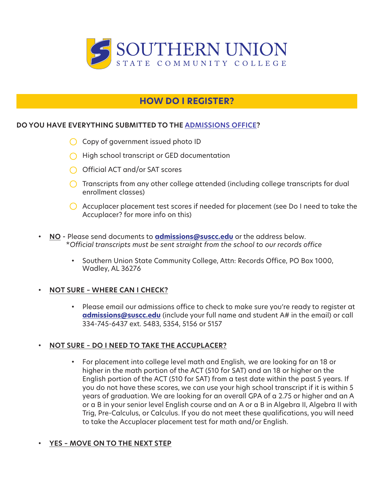

# **HOW DO I REGISTER?**

### **DO YOU HAVE EVERYTHING SUBMITTED TO THE [ADMISSIONS OFFICE](https://www.suscc.edu/prospective-students/admissioninfo.cms)?**

- $\bigcirc$  Copy of government issued photo ID
- $\bigcap$  High school transcript or GED documentation
- $\bigcap$  Official ACT and/or SAT scores
- Transcripts from any other college attended (including college transcripts for dual enrollment classes)
- Accuplacer placement test scores if needed for placement (see Do I need to take the Accuplacer? for more info on this)
- **NO -** Please send documents to **admissions@suscc.edu** or the address below. \**Official transcripts must be sent straight from the school to our records office*
	- Southern Union State Community College, Attn: Records Office, PO Box 1000, Wadley, AL 36276

#### **• NOT SURE – WHERE CAN I CHECK?**

• Please email our admissions office to check to make sure you're ready to register at **admissions@suscc.edu** (include your full name and student A# in the email) or call 334-745-6437 ext. 5483, 5354, 5156 or 5157

### **• NOT SURE – DO I NEED TO TAKE THE ACCUPLACER?**

• For placement into college level math and English, we are looking for an 18 or higher in the math portion of the ACT (510 for SAT) and an 18 or higher on the English portion of the ACT (510 for SAT) from a test date within the past 5 years. If you do not have these scores, we can use your high school transcript if it is within 5 years of graduation. We are looking for an overall GPA of a 2.75 or higher and an A or a B in your senior level English course and an A or a B in Algebra II, Algebra II with Trig, Pre-Calculus, or Calculus. If you do not meet these qualifications, you will need to take the Accuplacer placement test for math and/or English.

#### **• YES – MOVE ON TO THE NEXT STEP**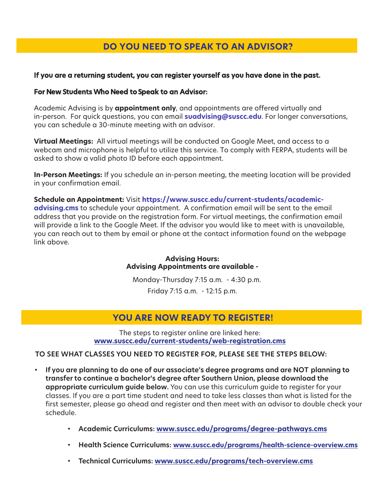# **DO YOU NEED TO SPEAK TO AN ADVISOR?**

#### **If you are a returning student, you can register yourself as you have done in the past.**

#### **For New Students Who Need to Speak to an Advisor:**

Academic Advising is by **appointment only**, and appointments are offered virtually and in-person. For quick questions, you can email **suadvising@suscc.edu**. For longer conversations, you can schedule a 30-minute meeting with an advisor.

**Virtual Meetings:** All virtual meetings will be conducted on Google Meet, and access to a webcam and microphone is helpful to utilize this service. To comply with FERPA, students will be asked to show a valid photo ID before each appointment.

**In-Person Meetings:** If you schedule an in-person meeting, the meeting location will be provided in your confirmation email.

**Schedule an Appointment:** Visit **https://www.suscc.edu/current-students/academicadvising.cms** to schedule your appointment. A confirmation email will be sent to the email address that you provide on the registration form. For virtual meetings, the confirmation email will provide a link to the Google Meet. If the advisor you would like to meet with is unavailable, you can reach out to them by email or phone at the contact information found on the webpage link above.

> **Advising Hours: Advising Appointments are available -**

Monday-Thursday 7:15 a.m. - 4:30 p.m. Friday 7:15 a.m. - 12:15 p.m.

## **YOU ARE NOW READY TO REGISTER!**

The steps to register online are linked here: **www.suscc.edu/current-students/web-registration.cms**

#### **TO SEE WHAT CLASSES YOU NEED TO REGISTER FOR, PLEASE SEE THE STEPS BELOW:**

- **If you are planning to do one of our associate's degree programs and are NOT planning to transfer to continue a bachelor's degree after Southern Union, please download the appropriate curriculum guide below.** You can use this curriculum guide to register for your classes. If you are a part time student and need to take less classes than what is listed for the first semester, please go ahead and register and then meet with an advisor to double check your schedule.
	- **Academic Curriculums: www.suscc.edu/programs/degree-pathways.cms**
	- **Health Science Curriculums: www.suscc.edu/programs/health-science-overview.cms**
	- **• Technical Curriculums: www.suscc.edu/programs/tech-overview.cms**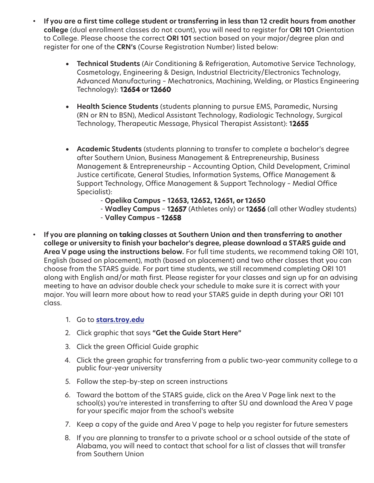- **If you are a first time college student or transferring in less than 12 credit hours from another college** (dual enrollment classes do not count), you will need to register for **ORI 101** Orientation to College. Please choose the correct **ORI 101** section based on your major/degree plan and register for one of the **CRN's** (Course Registration Number) listed below:
	- **Technical Students** (Air Conditioning & Refrigeration, Automotive Service Technology, Cosmetology, Engineering & Design, Industrial Electricity/Electronics Technology, Advanced Manufacturing – Mechatronics, Machining, Welding, or Plastics Engineering Technology): **12654 or 12660**
	- **Health Science Students** (students planning to pursue EMS, Paramedic, Nursing (RN or RN to BSN), Medical Assistant Technology, Radiologic Technology, Surgical Technology, Therapeutic Message, Physical Therapist Assistant): **12655**
	- **Academic Students** (students planning to transfer to complete a bachelor's degree after Southern Union, Business Management & Entrepreneurship, Business Management & Entrepreneurship – Accounting Option, Child Development, Criminal Justice certificate, General Studies, Information Systems, Office Management & Support Technology, Office Management & Support Technology – Medial Office Specialist):
		- **Opelika Campus 12653, 12652, 12651, or 12650**
		- **Wadley Campus 12657** (Athletes only) or **12656** (all other Wadley students)
		- **Valley Campus 12658**
- **If you are planning on taking classes at Southern Union and then transferring to another college or university to finish your bachelor's degree, please download a STARS guide and Area V page using the instructions below.** For full time students, we recommend taking ORI 101, English (based on placement), math (based on placement) and two other classes that you can choose from the STARS guide. For part time students, we still recommend completing ORI 101 along with English and/or math first. Please register for your classes and sign up for an advising meeting to have an advisor double check your schedule to make sure it is correct with your major. You will learn more about how to read your STARS guide in depth during your ORI 101 class.
	- 1. Go to **stars.troy.edu**
	- 2. Click graphic that says **"Get the Guide Start Here"**
	- 3. Click the green Official Guide graphic
	- 4. Click the green graphic for transferring from a public two-year community college to a public four-year university
	- 5. Follow the step-by-step on screen instructions
	- 6. Toward the bottom of the STARS guide, click on the Area V Page link next to the school(s) you're interested in transferring to after SU and download the Area V page for your specific major from the school's website
	- 7. Keep a copy of the guide and Area V page to help you register for future semesters
	- 8. If you are planning to transfer to a private school or a school outside of the state of Alabama, you will need to contact that school for a list of classes that will transfer from Southern Union